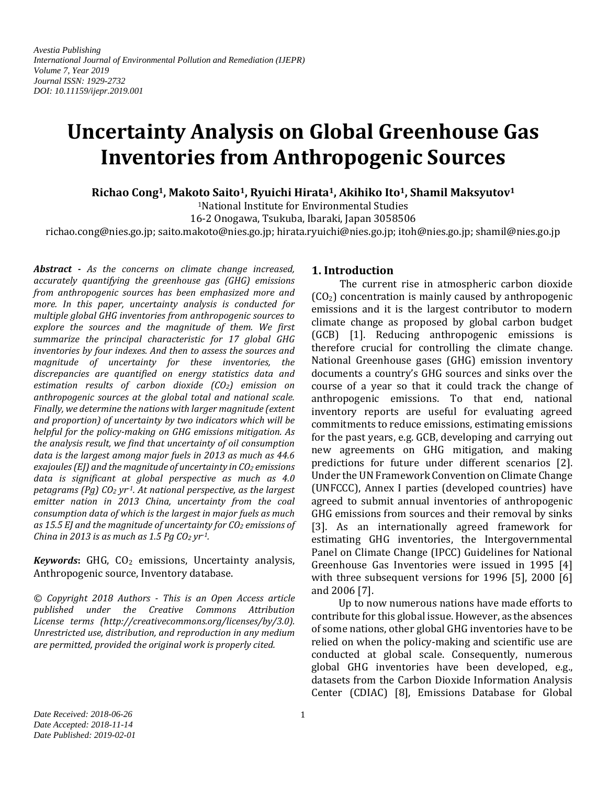*Avestia Publishing International Journal of Environmental Pollution and Remediation (IJEPR) Volume 7, Year 2019 Journal ISSN: 1929-2732 DOI: 10.11159/ijepr.2019.001*

# **Uncertainty Analysis on Global Greenhouse Gas Inventories from Anthropogenic Sources**

**Richao Cong1, Makoto Saito1, Ryuichi Hirata1, Akihiko Ito1, Shamil Maksyutov<sup>1</sup>**

<sup>1</sup>National Institute for Environmental Studies

16-2 Onogawa, Tsukuba, Ibaraki, Japan 3058506

richao.cong@nies.go.jp; saito.makoto@nies.go.jp; hirata.ryuichi@nies.go.jp; itoh@nies.go.jp; shamil@nies.go.jp

*Abstract - As the concerns on climate change increased, accurately quantifying the greenhouse gas (GHG) emissions from anthropogenic sources has been emphasized more and more. In this paper, uncertainty analysis is conducted for multiple global GHG inventories from anthropogenic sources to explore the sources and the magnitude of them. We first summarize the principal characteristic for 17 global GHG inventories by four indexes. And then to assess the sources and magnitude of uncertainty for these inventories, the discrepancies are quantified on energy statistics data and estimation results of carbon dioxide (CO2) emission on anthropogenic sources at the global total and national scale. Finally, we determine the nations with larger magnitude (extent and proportion) of uncertainty by two indicators which will be helpful for the policy-making on GHG emissions mitigation. As the analysis result, we find that uncertainty of oil consumption data is the largest among major fuels in 2013 as much as 44.6 exajoules (EJ) and the magnitude of uncertainty in CO<sup>2</sup> emissions data is significant at global perspective as much as 4.0 petagrams (Pg) CO<sup>2</sup> yr-1. At national perspective, as the largest emitter nation in 2013 China, uncertainty from the coal consumption data of which is the largest in major fuels as much as 15.5 EJ and the magnitude of uncertainty for CO<sup>2</sup> emissions of China in 2013 is as much as 1.5 Pg CO<sup>2</sup> yr-1.* 

*Keywords***:** GHG, CO<sup>2</sup> emissions, Uncertainty analysis, Anthropogenic source, Inventory database.

*© Copyright 2018 Authors - This is an Open Access article published under the Creative Commons Attribution License terms (http://creativecommons.org/licenses/by/3.0). Unrestricted use, distribution, and reproduction in any medium are permitted, provided the original work is properly cited.*

## **1. Introduction**

The current rise in atmospheric carbon dioxide  $(CO<sub>2</sub>)$  concentration is mainly caused by anthropogenic emissions and it is the largest contributor to modern climate change as proposed by global carbon budget (GCB) [1]. Reducing anthropogenic emissions is therefore crucial for controlling the climate change. National Greenhouse gases (GHG) emission inventory documents a country's GHG sources and sinks over the course of a year so that it could track the change of anthropogenic emissions. To that end, national inventory reports are useful for evaluating agreed commitments to reduce emissions, estimating emissions for the past years, e.g. GCB, developing and carrying out new agreements on GHG mitigation, and making predictions for future under different scenarios [2]. Under the UN Framework Convention on Climate Change (UNFCCC), Annex I parties (developed countries) have agreed to submit annual inventories of anthropogenic GHG emissions from sources and their removal by sinks [3]. As an internationally agreed framework for estimating GHG inventories, the Intergovernmental Panel on Climate Change (IPCC) Guidelines for National Greenhouse Gas Inventories were issued in 1995 [4] with three subsequent versions for 1996 [5], 2000 [6] and 2006 [7].

Up to now numerous nations have made efforts to contribute for this global issue. However, as the absences of some nations, other global GHG inventories have to be relied on when the policy-making and scientific use are conducted at global scale. Consequently, numerous global GHG inventories have been developed, e.g., datasets from the Carbon Dioxide Information Analysis Center (CDIAC) [8], Emissions Database for Global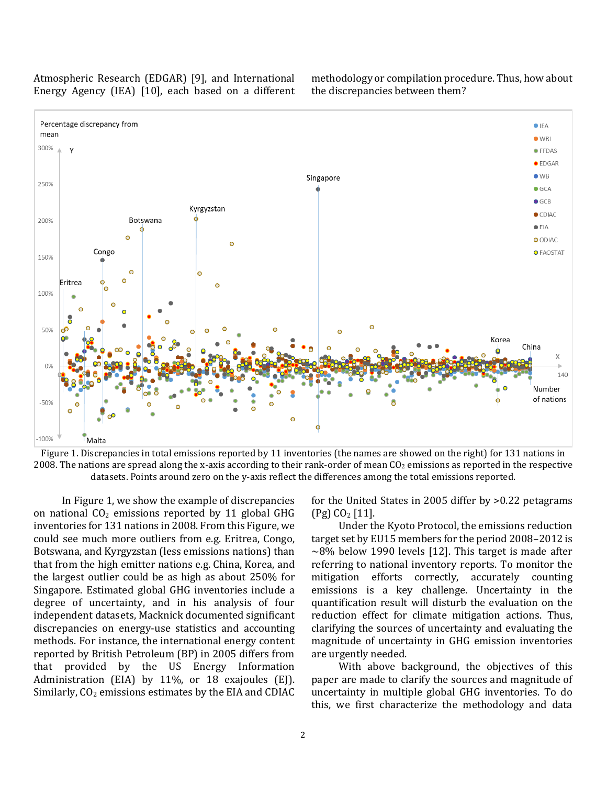Atmospheric Research (EDGAR) [9], and International Energy Agency (IEA) [10], each based on a different methodology or compilation procedure. Thus, how about the discrepancies between them?



Figure 1. Discrepancies in total emissions reported by 11 inventories (the names are showed on the right) for 131 nations in 2008. The nations are spread along the x-axis according to their rank-order of mean  $C_{2}$  emissions as reported in the respective datasets. Points around zero on the y-axis reflect the differences among the total emissions reported.

In Figure 1, we show the example of discrepancies on national  $CO<sub>2</sub>$  emissions reported by 11 global GHG inventories for 131 nations in 2008. From this Figure, we could see much more outliers from e.g. Eritrea, Congo, Botswana, and Kyrgyzstan (less emissions nations) than that from the high emitter nations e.g. China, Korea, and the largest outlier could be as high as about 250% for Singapore. Estimated global GHG inventories include a degree of uncertainty, and in his analysis of four independent datasets, Macknick documented significant discrepancies on energy-use statistics and accounting methods. For instance, the international energy content reported by British Petroleum (BP) in 2005 differs from that provided by the US Energy Information Administration (EIA) by 11%, or 18 exajoules (EJ). Similarly,  $CO<sub>2</sub>$  emissions estimates by the EIA and CDIAC

for the United States in 2005 differ by >0.22 petagrams (Pg) CO<sup>2</sup> [11].

Under the Kyoto Protocol, the emissions reduction target set by EU15 members for the period 2008–2012 is  $\sim$ 8% below 1990 levels [12]. This target is made after referring to national inventory reports. To monitor the mitigation efforts correctly, accurately counting emissions is a key challenge. Uncertainty in the quantification result will disturb the evaluation on the reduction effect for climate mitigation actions. Thus, clarifying the sources of uncertainty and evaluating the magnitude of uncertainty in GHG emission inventories are urgently needed.

With above background, the objectives of this paper are made to clarify the sources and magnitude of uncertainty in multiple global GHG inventories. To do this, we first characterize the methodology and data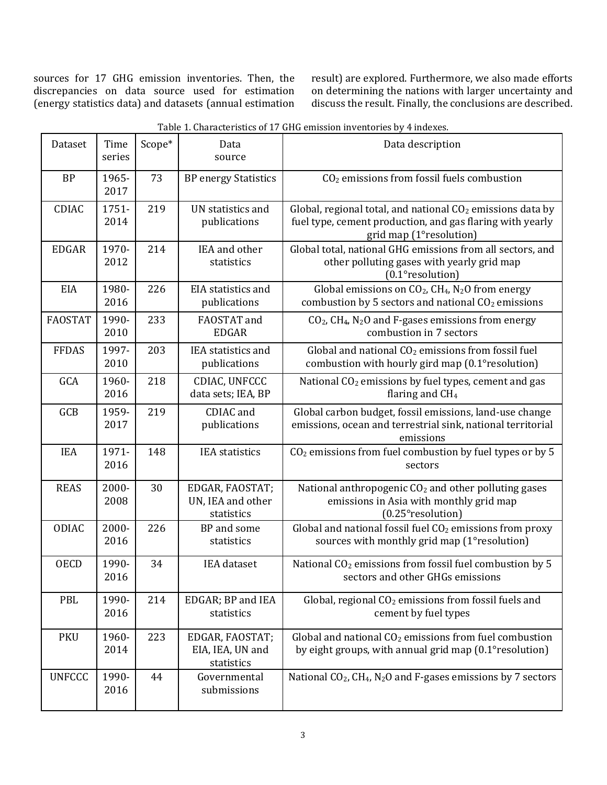sources for 17 GHG emission inventories. Then, the discrepancies on data source used for estimation (energy statistics data) and datasets (annual estimation result) are explored. Furthermore, we also made efforts on determining the nations with larger uncertainty and discuss the result. Finally, the conclusions are described.

| Table 1. Characteristics of 17 GHG emission inventories by 4 indexes. |                |        |                                                    |                                                                                                                                                      |  |
|-----------------------------------------------------------------------|----------------|--------|----------------------------------------------------|------------------------------------------------------------------------------------------------------------------------------------------------------|--|
| Dataset                                                               | Time<br>series | Scope* | Data<br>source                                     | Data description                                                                                                                                     |  |
| <b>BP</b>                                                             | 1965-<br>2017  | 73     | <b>BP</b> energy Statistics                        | $CO2$ emissions from fossil fuels combustion                                                                                                         |  |
| CDIAC                                                                 | 1751-<br>2014  | 219    | UN statistics and<br>publications                  | Global, regional total, and national $CO2$ emissions data by<br>fuel type, cement production, and gas flaring with yearly<br>grid map (1°resolution) |  |
| <b>EDGAR</b>                                                          | 1970-<br>2012  | 214    | IEA and other<br>statistics                        | Global total, national GHG emissions from all sectors, and<br>other polluting gases with yearly grid map<br>(0.1°resolution)                         |  |
| EIA                                                                   | 1980-<br>2016  | 226    | <b>EIA</b> statistics and<br>publications          | Global emissions on $CO_2$ , $CH_4$ , N <sub>2</sub> O from energy<br>combustion by 5 sectors and national $CO2$ emissions                           |  |
| <b>FAOSTAT</b>                                                        | 1990-<br>2010  | 233    | FAOSTAT and<br><b>EDGAR</b>                        | $CO2$ , CH <sub>4</sub> , N <sub>2</sub> O and F-gases emissions from energy<br>combustion in 7 sectors                                              |  |
| <b>FFDAS</b>                                                          | 1997-<br>2010  | 203    | <b>IEA</b> statistics and<br>publications          | Global and national $CO2$ emissions from fossil fuel<br>combustion with hourly gird map (0.1° resolution)                                            |  |
| GCA                                                                   | 1960-<br>2016  | 218    | CDIAC, UNFCCC<br>data sets; IEA, BP                | National CO <sub>2</sub> emissions by fuel types, cement and gas<br>flaring and $CH4$                                                                |  |
| GCB                                                                   | 1959-<br>2017  | 219    | CDIAC and<br>publications                          | Global carbon budget, fossil emissions, land-use change<br>emissions, ocean and terrestrial sink, national territorial<br>emissions                  |  |
| <b>IEA</b>                                                            | 1971-<br>2016  | 148    | <b>IEA</b> statistics                              | CO <sub>2</sub> emissions from fuel combustion by fuel types or by 5<br>sectors                                                                      |  |
| <b>REAS</b>                                                           | 2000-<br>2008  | 30     | EDGAR, FAOSTAT;<br>UN, IEA and other<br>statistics | National anthropogenic CO <sub>2</sub> and other polluting gases<br>emissions in Asia with monthly grid map<br>$(0.25^{\circ}$ resolution)           |  |
| ODIAC                                                                 | 2000-<br>2016  | 226    | BP and some<br>statistics                          | Global and national fossil fuel $CO2$ emissions from proxy<br>sources with monthly grid map (1°resolution)                                           |  |
| <b>OECD</b>                                                           | 1990-<br>2016  | 34     | <b>IEA</b> dataset                                 | National CO <sub>2</sub> emissions from fossil fuel combustion by 5<br>sectors and other GHGs emissions                                              |  |
| PBL                                                                   | 1990-<br>2016  | 214    | EDGAR; BP and IEA<br>statistics                    | Global, regional CO <sub>2</sub> emissions from fossil fuels and<br>cement by fuel types                                                             |  |
| <b>PKU</b>                                                            | 1960-<br>2014  | 223    | EDGAR, FAOSTAT;<br>EIA, IEA, UN and<br>statistics  | Global and national $CO2$ emissions from fuel combustion<br>by eight groups, with annual grid map (0.1° resolution)                                  |  |
| <b>UNFCCC</b>                                                         | 1990-<br>2016  | 44     | Governmental<br>submissions                        | National CO <sub>2</sub> , CH <sub>4</sub> , N <sub>2</sub> O and F-gases emissions by 7 sectors                                                     |  |

Table 1. Characteristics of 17 GHG emission inventories by 4 indexes.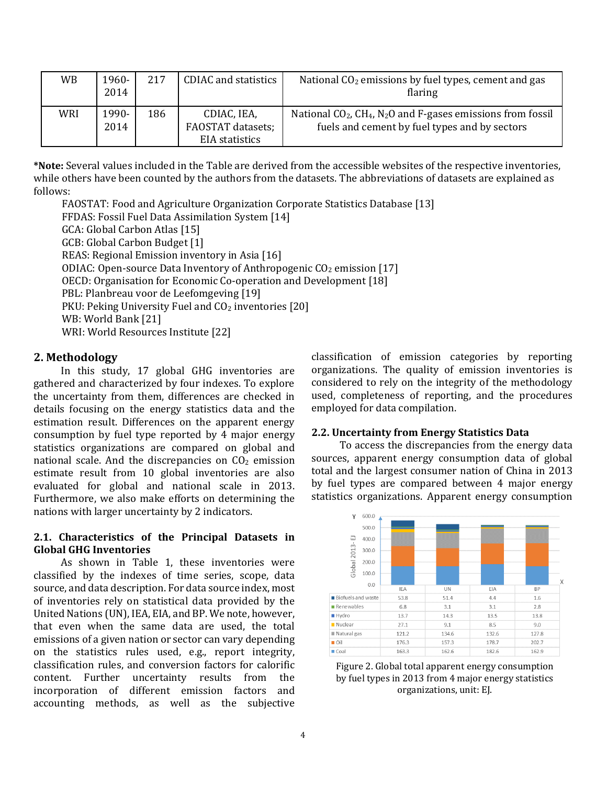| WB  | 1960-<br>2014 | 217 | CDIAC and statistics                               | National $CO2$ emissions by fuel types, cement and gas<br>flaring                                                            |
|-----|---------------|-----|----------------------------------------------------|------------------------------------------------------------------------------------------------------------------------------|
| WRI | 1990-<br>2014 | 186 | CDIAC, IEA,<br>FAOSTAT datasets;<br>EIA statistics | National $CO2$ , $CH4$ , N <sub>2</sub> O and F-gases emissions from fossil<br>fuels and cement by fuel types and by sectors |

**\*Note:** Several values included in the Table are derived from the accessible websites of the respective inventories, while others have been counted by the authors from the datasets. The abbreviations of datasets are explained as follows:

FAOSTAT: Food and Agriculture Organization Corporate Statistics Database [13] FFDAS: Fossil Fuel Data Assimilation System [14] GCA: Global Carbon Atlas [15] GCB: Global Carbon Budget [1] REAS: Regional Emission inventory in Asia [16] ODIAC: Open-source Data Inventory of Anthropogenic  $CO<sub>2</sub>$  emission [17] OECD: Organisation for Economic Co-operation and Development [18] PBL: Planbreau voor de Leefomgeving [19] PKU: Peking University Fuel and  $CO<sub>2</sub>$  inventories [20] WB: World Bank [21] WRI: World Resources Institute [22]

# **2. Methodology**

In this study, 17 global GHG inventories are gathered and characterized by four indexes. To explore the uncertainty from them, differences are checked in details focusing on the energy statistics data and the estimation result. Differences on the apparent energy consumption by fuel type reported by 4 major energy statistics organizations are compared on global and national scale. And the discrepancies on  $CO<sub>2</sub>$  emission estimate result from 10 global inventories are also evaluated for global and national scale in 2013. Furthermore, we also make efforts on determining the nations with larger uncertainty by 2 indicators.

# **2.1. Characteristics of the Principal Datasets in Global GHG Inventories**

As shown in Table 1, these inventories were classified by the indexes of time series, scope, data source, and data description. For data source index, most of inventories rely on statistical data provided by the United Nations (UN), IEA, EIA, and BP. We note, however, that even when the same data are used, the total emissions of a given nation or sector can vary depending on the statistics rules used, e.g., report integrity, classification rules, and conversion factors for calorific content. Further uncertainty results from the incorporation of different emission factors and accounting methods, as well as the subjective

classification of emission categories by reporting organizations. The quality of emission inventories is considered to rely on the integrity of the methodology used, completeness of reporting, and the procedures employed for data compilation.

# **2.2. Uncertainty from Energy Statistics Data**

To access the discrepancies from the energy data sources, apparent energy consumption data of global total and the largest consumer nation of China in 2013 by fuel types are compared between 4 major energy statistics organizations. Apparent energy consumption



Figure 2. Global total apparent energy consumption by fuel types in 2013 from 4 major energy statistics organizations, unit: EJ.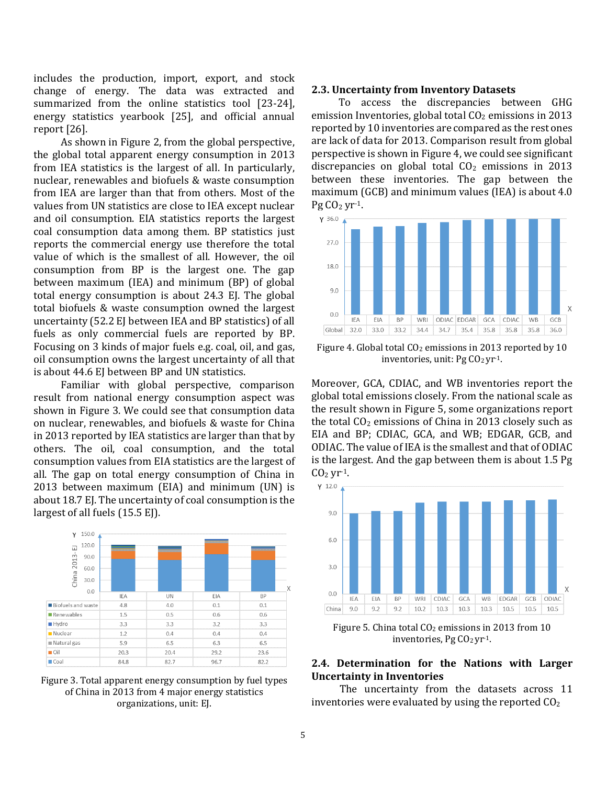includes the production, import, export, and stock change of energy. The data was extracted and summarized from the online statistics tool [23-24], energy statistics yearbook [25], and official annual report [26].

As shown in Figure 2, from the global perspective, the global total apparent energy consumption in 2013 from IEA statistics is the largest of all. In particularly, nuclear, renewables and biofuels & waste consumption from IEA are larger than that from others. Most of the values from UN statistics are close to IEA except nuclear and oil consumption. EIA statistics reports the largest coal consumption data among them. BP statistics just reports the commercial energy use therefore the total value of which is the smallest of all. However, the oil consumption from BP is the largest one. The gap between maximum (IEA) and minimum (BP) of global total energy consumption is about 24.3 EJ. The global total biofuels & waste consumption owned the largest uncertainty (52.2 EJ between IEA and BP statistics) of all fuels as only commercial fuels are reported by BP. Focusing on 3 kinds of major fuels e.g. coal, oil, and gas, oil consumption owns the largest uncertainty of all that is about 44.6 EJ between BP and UN statistics.

Familiar with global perspective, comparison result from national energy consumption aspect was shown in Figure 3. We could see that consumption data on nuclear, renewables, and biofuels & waste for China in 2013 reported by IEA statistics are larger than that by others. The oil, coal consumption, and the total consumption values from EIA statistics are the largest of all. The gap on total energy consumption of China in 2013 between maximum (EIA) and minimum (UN) is about 18.7 EJ. The uncertainty of coal consumption is the largest of all fuels (15.5 EJ).





#### **2.3. Uncertainty from Inventory Datasets**

To access the discrepancies between GHG emission Inventories, global total  $CO<sub>2</sub>$  emissions in 2013 reported by 10 inventories are compared as the rest ones are lack of data for 2013. Comparison result from global perspective is shown in Figure 4, we could see significant discrepancies on global total  $CO<sub>2</sub>$  emissions in 2013 between these inventories. The gap between the maximum (GCB) and minimum values (IEA) is about 4.0 Pg  $CO<sub>2</sub>$  yr<sup>-1</sup>.



Figure 4. Global total  $CO<sub>2</sub>$  emissions in 2013 reported by 10 inventories, unit: Pg  $CO<sub>2</sub>$  yr<sup>-1</sup>.

Moreover, GCA, CDIAC, and WB inventories report the global total emissions closely. From the national scale as the result shown in Figure 5, some organizations report the total  $CO<sub>2</sub>$  emissions of China in 2013 closely such as EIA and BP; CDIAC, GCA, and WB; EDGAR, GCB, and ODIAC. The value of IEA is the smallest and that of ODIAC is the largest. And the gap between them is about 1.5 Pg  $CO<sub>2</sub>$  yr-1.



Figure 5. China total  $CO<sub>2</sub>$  emissions in 2013 from 10 inventories, Pg  $CO<sub>2</sub>$  yr<sup>-1</sup>.

## **2.4. Determination for the Nations with Larger Uncertainty in Inventories**

The uncertainty from the datasets across 11 inventories were evaluated by using the reported  $CO<sub>2</sub>$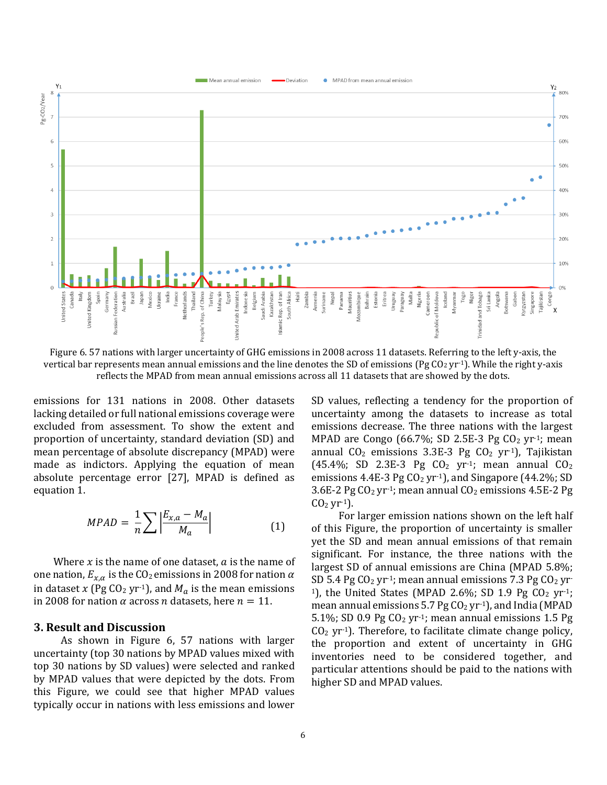

Figure 6. 57 nations with larger uncertainty of GHG emissions in 2008 across 11 datasets. Referring to the left y-axis, the vertical bar represents mean annual emissions and the line denotes the SD of emissions (Pg  $CO<sub>2</sub>$  yr<sup>-1</sup>). While the right y-axis reflects the MPAD from mean annual emissions across all 11 datasets that are showed by the dots.

emissions for 131 nations in 2008. Other datasets lacking detailed or full national emissions coverage were excluded from assessment. To show the extent and proportion of uncertainty, standard deviation (SD) and mean percentage of absolute discrepancy (MPAD) were made as indictors. Applying the equation of mean absolute percentage error [27], MPAD is defined as equation 1.

$$
MPAD = \frac{1}{n} \sum \left| \frac{E_{x,a} - M_a}{M_a} \right| \tag{1}
$$

Where  $x$  is the name of one dataset,  $a$  is the name of one nation,  $E_{x,\alpha}$  is the CO<sub>2</sub> emissions in 2008 for nation  $\alpha$ in dataset x (Pg CO<sub>2</sub> yr<sup>-1</sup>), and  $M_a$  is the mean emissions in 2008 for nation  $\alpha$  across *n* datasets, here  $n = 11$ .

## **3. Result and Discussion**

As shown in Figure 6, 57 nations with larger uncertainty (top 30 nations by MPAD values mixed with top 30 nations by SD values) were selected and ranked by MPAD values that were depicted by the dots. From this Figure, we could see that higher MPAD values typically occur in nations with less emissions and lower SD values, reflecting a tendency for the proportion of uncertainty among the datasets to increase as total emissions decrease. The three nations with the largest MPAD are Congo (66.7%; SD 2.5E-3 Pg  $CO<sub>2</sub>$  yr<sup>-1</sup>; mean annual  $CO<sub>2</sub>$  emissions 3.3E-3 Pg  $CO<sub>2</sub>$  yr<sup>-1</sup>), Tajikistan  $(45.4\%; SD$  2.3E-3 Pg  $CO<sub>2</sub>$  yr<sup>-1</sup>; mean annual  $CO<sub>2</sub>$ emissions 4.4E-3 Pg  $CO<sub>2</sub>$  yr<sup>-1</sup>), and Singapore (44.2%; SD 3.6E-2 Pg  $CO<sub>2</sub>$  yr<sup>-1</sup>; mean annual  $CO<sub>2</sub>$  emissions 4.5E-2 Pg  $CO<sub>2</sub>$  yr<sup>-1</sup>).

For larger emission nations shown on the left half of this Figure, the proportion of uncertainty is smaller yet the SD and mean annual emissions of that remain significant. For instance, the three nations with the largest SD of annual emissions are China (MPAD 5.8%; SD 5.4 Pg  $CO<sub>2</sub>$  yr<sup>-1</sup>; mean annual emissions 7.3 Pg  $CO<sub>2</sub>$  yr<sup>-</sup> <sup>1</sup>), the United States (MPAD 2.6%; SD 1.9 Pg  $CO<sub>2</sub>$  yr<sup>-1</sup>; mean annual emissions  $5.7$  Pg  $CO<sub>2</sub>$  yr<sup>-1</sup>), and India (MPAD 5.1%; SD 0.9 Pg  $CO<sub>2</sub>$  yr<sup>-1</sup>; mean annual emissions 1.5 Pg  $CO<sub>2</sub>$  yr<sup>-1</sup>). Therefore, to facilitate climate change policy, the proportion and extent of uncertainty in GHG inventories need to be considered together, and particular attentions should be paid to the nations with higher SD and MPAD values.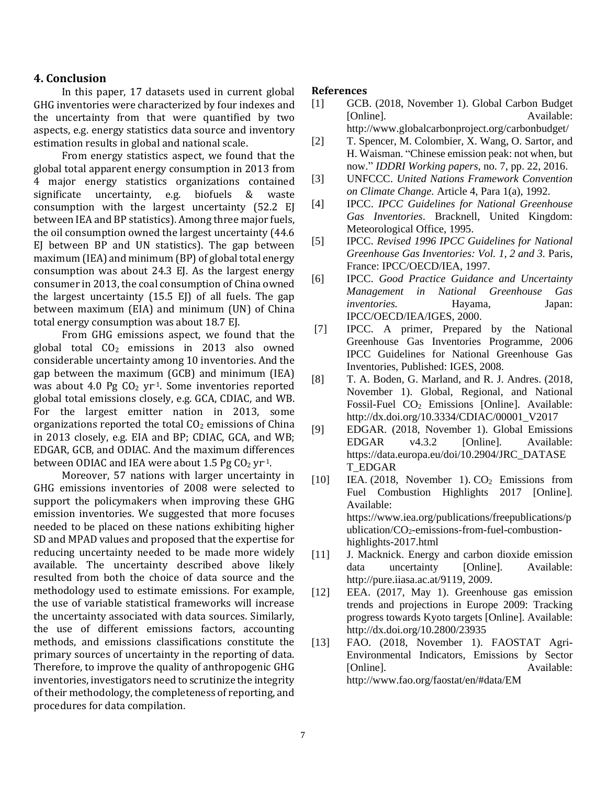## **4. Conclusion**

In this paper, 17 datasets used in current global GHG inventories were characterized by four indexes and the uncertainty from that were quantified by two aspects, e.g. energy statistics data source and inventory estimation results in global and national scale.

From energy statistics aspect, we found that the global total apparent energy consumption in 2013 from 4 major energy statistics organizations contained significate uncertainty, e.g. biofuels & waste consumption with the largest uncertainty (52.2 EJ between IEA and BP statistics). Among three major fuels, the oil consumption owned the largest uncertainty (44.6 EJ between BP and UN statistics). The gap between maximum (IEA) and minimum (BP) of global total energy consumption was about 24.3 EJ. As the largest energy consumer in 2013, the coal consumption of China owned the largest uncertainty  $(15.5 \tE)$  of all fuels. The gap between maximum (EIA) and minimum (UN) of China total energy consumption was about 18.7 EJ.

From GHG emissions aspect, we found that the global total  $CO<sub>2</sub>$  emissions in 2013 also owned considerable uncertainty among 10 inventories. And the gap between the maximum (GCB) and minimum (IEA) was about 4.0 Pg  $CO<sub>2</sub>$  yr<sup>-1</sup>. Some inventories reported global total emissions closely, e.g. GCA, CDIAC, and WB. For the largest emitter nation in 2013, some organizations reported the total  $CO<sub>2</sub>$  emissions of China in 2013 closely, e.g. EIA and BP; CDIAC, GCA, and WB; EDGAR, GCB, and ODIAC. And the maximum differences between ODIAC and IEA were about 1.5 Pg  $CO<sub>2</sub>$  yr<sup>-1</sup>.

Moreover, 57 nations with larger uncertainty in GHG emissions inventories of 2008 were selected to support the policymakers when improving these GHG emission inventories. We suggested that more focuses needed to be placed on these nations exhibiting higher SD and MPAD values and proposed that the expertise for reducing uncertainty needed to be made more widely available. The uncertainty described above likely resulted from both the choice of data source and the methodology used to estimate emissions. For example, the use of variable statistical frameworks will increase the uncertainty associated with data sources. Similarly, the use of different emissions factors, accounting methods, and emissions classifications constitute the primary sources of uncertainty in the reporting of data. Therefore, to improve the quality of anthropogenic GHG inventories, investigators need to scrutinize the integrity of their methodology, the completeness of reporting, and procedures for data compilation.

#### **References**

- [1] GCB. (2018, November 1). Global Carbon Budget [Online]. Available:
	- http://www.globalcarbonproject.org/carbonbudget/
- [2] T. Spencer, M. Colombier, X. Wang, O. Sartor, and H. Waisman. "Chinese emission peak: not when, but now." *IDDRI Working papers*, no. 7, pp. 22, 2016.
- [3] UNFCCC. *United Nations Framework Convention on Climate Change.* Article 4, Para 1(a), 1992.
- [4] IPCC. *IPCC Guidelines for National Greenhouse Gas Inventories*. Bracknell, United Kingdom: Meteorological Office, 1995.
- [5] IPCC. *Revised 1996 IPCC Guidelines for National Greenhouse Gas Inventories: Vol. 1, 2 and 3.* Paris, France: IPCC/OECD/IEA, 1997.
- [6] IPCC. *Good Practice Guidance and Uncertainty Management in National Greenhouse Gas inventories.* Hayama, Japan: IPCC/OECD/IEA/IGES, 2000.
- [7] IPCC. A primer, Prepared by the National Greenhouse Gas Inventories Programme, 2006 IPCC Guidelines for National Greenhouse Gas Inventories, Published: IGES, 2008.
- [8] T. A. Boden, G. Marland, and R. J. Andres. (2018, November 1). Global, Regional, and National Fossil-Fuel CO<sub>2</sub> Emissions [Online]. Available: http://dx.doi.org/10.3334/CDIAC/00001\_V2017
- [9] EDGAR. (2018, November 1). Global Emissions EDGAR v4.3.2 [Online]. Available: https://data.europa.eu/doi/10.2904/JRC\_DATASE T\_EDGAR
- [10] IEA. (2018, November 1).  $CO<sub>2</sub>$  Emissions from Fuel Combustion Highlights 2017 [Online]. Available: https://www.iea.org/publications/freepublications/p ublication/ $CO<sub>2</sub>$ -emissions-from-fuel-combustionhighlights-2017.html
- [11] J. Macknick. Energy and carbon dioxide emission data uncertainty [Online]. Available: http://pure.iiasa.ac.at/9119, 2009.
- [12] EEA. (2017, May 1). Greenhouse gas emission trends and projections in Europe 2009: Tracking progress towards Kyoto targets [Online]. Available: http://dx.doi.org/10.2800/23935
- [13] FAO. (2018, November 1). FAOSTAT Agri-Environmental Indicators, Emissions by Sector [Online]. Available: http://www.fao.org/faostat/en/#data/EM